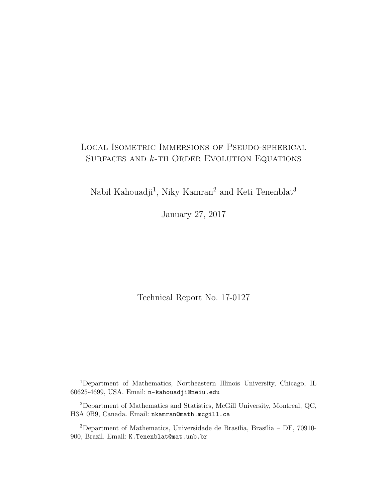# Local Isometric Immersions of Pseudo-spherical Surfaces and *k*-th Order Evolution Equations

Nabil Kahouadji<sup>1</sup>, Niky Kamran<sup>2</sup> and Keti Tenenblat<sup>3</sup>

January 27, 2017

Technical Report No. 17-0127

<sup>1</sup>Department of Mathematics, Northeastern Illinois University, Chicago, IL 60625-4699, USA. Email: n-kahouadji@neiu.edu

<sup>2</sup>Department of Mathematics and Statistics, McGill University, Montreal, QC, H3A 0B9, Canada. Email: nkamran@math.mcgill.ca

<sup>3</sup>Department of Mathematics, Universidade de Brasília, Brasília – DF, 70910- 900, Brazil. Email: K.Tenenblat@mat.unb.br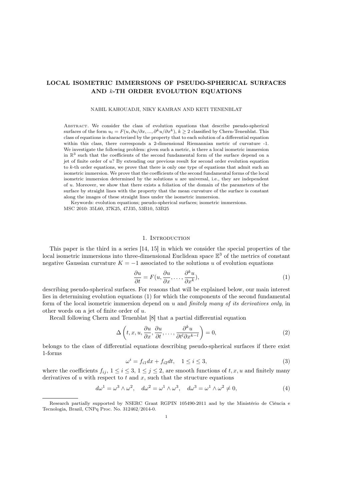# LOCAL ISOMETRIC IMMERSIONS OF PSEUDO-SPHERICAL SURFACES AND k-TH ORDER EVOLUTION EQUATIONS

#### NABIL KAHOUADJI, NIKY KAMRAN AND KETI TENENBLAT

Abstract. We consider the class of evolution equations that describe pseudo-spherical surfaces of the form  $u_t = F(u, \partial u/\partial x, ..., \partial^k u/\partial x^k), k \geq 2$  classified by Chern-Tenenblat. This class of equations is characterized by the property that to each solution of a differential equation within this class, there corresponds a 2-dimensional Riemannian metric of curvature -1. We investigate the following problem: given such a metric, is there a local isometric immersion in  $\mathbb{R}^3$  such that the coefficients of the second fundamental form of the surface depend on a jet of finite order of u? By extending our previous result for second order evolution equation to k-th order equations, we prove that there is only one type of equations that admit such an isometric immersion. We prove that the coefficients of the second fundamental forms of the local isometric immersion determined by the solutions  $u$  are universal, i.e., they are independent of u. Moreover, we show that there exists a foliation of the domain of the parameters of the surface by straight lines with the property that the mean curvature of the surface is constant along the images of these straight lines under the isometric immersion.

Keywords: evolution equations; pseudo-spherical surfaces; isometric immersions. MSC 2010: 35L60, 37K25, 47J35, 53B10, 53B25

### 1. INTRODUCTION

This paper is the third in a series [14, 15] in which we consider the special properties of the local isometric immersions into three-dimensional Euclidean space  $\mathbb{E}^3$  of the metrics of constant negative Gaussian curvature  $K = -1$  associated to the solutions u of evolution equations

$$
\frac{\partial u}{\partial t} = F(u, \frac{\partial u}{\partial x}, \dots, \frac{\partial^k u}{\partial x^k}),\tag{1}
$$

describing pseudo-spherical surfaces. For reasons that will be explained below, our main interest lies in determining evolution equations (1) for which the components of the second fundamental form of the local isometric immersion depend on u and finitely many of its derivatives only, in other words on a jet of finite order of u.

Recall following Chern and Tenenblat [8] that a partial differential equation

$$
\Delta\left(t, x, u, \frac{\partial u}{\partial x}, \frac{\partial u}{\partial t}, \dots, \frac{\partial^k u}{\partial t^l \partial x^{k-l}}\right) = 0,\tag{2}
$$

belongs to the class of differential equations describing pseudo-spherical surfaces if there exist 1-forms

$$
\omega^i = f_{i1}dx + f_{i2}dt, \quad 1 \le i \le 3,
$$
\n<sup>(3)</sup>

where the coefficients  $f_{ij}$ ,  $1 \leq i \leq 3$ ,  $1 \leq j \leq 2$ , are smooth functions of  $t, x, u$  and finitely many derivatives of  $u$  with respect to  $t$  and  $x$ , such that the structure equations

$$
d\omega^1 = \omega^3 \wedge \omega^2, \quad d\omega^2 = \omega^1 \wedge \omega^3, \quad d\omega^3 = \omega^1 \wedge \omega^2 \neq 0,
$$
 (4)

Research partially supported by NSERC Grant RGPIN 105490-2011 and by the Ministério de Ciência e Tecnologia, Brazil, CNPq Proc. No. 312462/2014-0.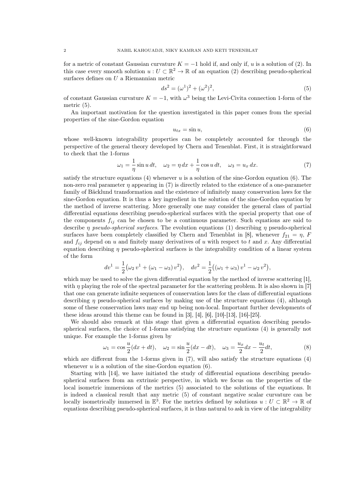for a metric of constant Gaussian curvature  $K = -1$  hold if, and only if, u is a solution of (2). In this case every smooth solution  $u: U \subset \mathbb{R}^2 \to \mathbb{R}$  of an equation (2) describing pseudo-spherical surfaces defines on  $U$  a Riemannian metric

$$
ds^{2} = (\omega^{1})^{2} + (\omega^{2})^{2}, \qquad (5)
$$

of constant Gaussian curvature  $K = -1$ , with  $\omega^3$  being the Levi-Civita connection 1-form of the metric (5).

An important motivation for the question investigated in this paper comes from the special properties of the sine-Gordon equation

$$
u_{tx} = \sin u,\tag{6}
$$

whose well-known integrability properties can be completely accounted for through the perspective of the general theory developed by Chern and Tenenblat. First, it is straightforward to check that the 1-forms

$$
\omega_1 = -\frac{1}{\eta} \sin u \, dt, \quad \omega_2 = \eta \, dx + \frac{1}{\eta} \cos u \, dt, \quad \omega_3 = u_x \, dx. \tag{7}
$$

satisfy the structure equations (4) whenever u is a solution of the sine-Gordon equation (6). The non-zero real parameter  $\eta$  appearing in (7) is directly related to the existence of a one-parameter family of Bäcklund transformation and the existence of infinitely many conservation laws for the sine-Gordon equation. It is thus a key ingredient in the solution of the sine-Gordon equation by the method of inverse scattering. More generally one may consider the general class of partial differential equations describing pseudo-spherical surfaces with the special property that one of the components  $f_{ij}$  can be chosen to be a continuous parameter. Such equations are said to describe  $\eta$  pseudo-spherical surfaces. The evolution equations (1) describing  $\eta$  pseudo-spherical surfaces have been completely classified by Chern and Tenenblat in [8], whenever  $f_{21} = \eta$ , F and  $f_{ij}$  depend on u and finitely many derivatives of u with respect to t and x. Any differential equation describing  $\eta$  pseudo-spherical surfaces is the integrability condition of a linear system of the form

$$
dv^{1} = \frac{1}{2} (\omega_{2} v^{1} + (\omega_{1} - \omega_{3}) v^{2}), \quad dv^{2} = \frac{1}{2} ((\omega_{1} + \omega_{3}) v^{1} - \omega_{2} v^{2}),
$$

which may be used to solve the given differential equation by the method of inverse scattering [1], with  $\eta$  playing the role of the spectral parameter for the scattering problem. It is also shown in [7] that one can generate infinite sequences of conservation laws for the class of differential equations describing  $\eta$  pseudo-spherical surfaces by making use of the structure equations (4), although some of these conservation laws may end up being non-local. Important further developments of these ideas around this theme can be found in [3], [4], [6], [10]-[13], [16]-[25].

We should also remark at this stage that given a differential equation describing pseudospherical surfaces, the choice of 1-forms satisfying the structure equations (4) is generally not unique. For example the 1-forms given by

$$
\omega_1 = \cos\frac{u}{2}(dx + dt), \quad \omega_2 = \sin\frac{u}{2}(dx - dt), \quad \omega_3 = \frac{u_x}{2}dx - \frac{u_t}{2}dt,
$$
\n(8)

which are different from the 1-forms given in  $(7)$ , will also satisfy the structure equations  $(4)$ whenever  $u$  is a solution of the sine-Gordon equation (6).

Starting with [14], we have initiated the study of differential equations describing pseudospherical surfaces from an extrinsic perspective, in which we focus on the properties of the local isometric immersions of the metrics (5) associated to the solutions of the equations. It is indeed a classical result that any metric (5) of constant negative scalar curvature can be locally isometrically immersed in  $\mathbb{E}^3$ . For the metrics defined by solutions  $u: U \subset \mathbb{R}^2 \to \mathbb{R}$  of equations describing pseudo-spherical surfaces, it is thus natural to ask in view of the integrability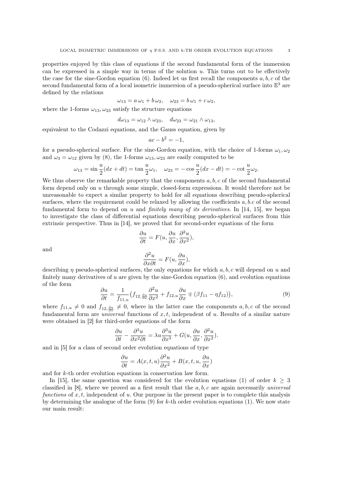properties enjoyed by this class of equations if the second fundamental form of the immersion can be expressed in a simple way in terms of the solution  $u$ . This turns out to be effectively the case for the sine-Gordon equation  $(6)$ . Indeed let us first recall the components a, b, c of the second fundamental form of a local isometric immersion of a pseudo-spherical surface into  $\mathbb{E}^3$  are defined by the relations

$$
\omega_{13} = a\,\omega_1 + b\,\omega_2, \quad \omega_{23} = b\,\omega_1 + c\,\omega_2,
$$

where the 1-forms  $\omega_{13}, \omega_{23}$  satisfy the structure equations

$$
d\omega_{13} = \omega_{12} \wedge \omega_{23}, \quad d\omega_{23} = \omega_{21} \wedge \omega_{13},
$$

equivalent to the Codazzi equations, and the Gauss equation, given by

$$
ac - b^2 = -1,
$$

for a pseudo-spherical surface. For the sine-Gordon equation, with the choice of 1-forms  $\omega_1, \omega_2$ and  $\omega_3 = \omega_{12}$  given by (8), the 1-forms  $\omega_{13}, \omega_{23}$  are easily computed to be

$$
\omega_{13} = \sin \frac{u}{2}(dx + dt) = \tan \frac{u}{2}\omega_1, \quad \omega_{23} = -\cos \frac{u}{2}(dx - dt) = -\cot \frac{u}{2}\omega_2.
$$

We thus observe the remarkable property that the components  $a, b, c$  of the second fundamental form depend only on  $u$  through some simple, closed-form expressions. It would therefore not be unreasonable to expect a similar property to hold for all equations describing pseudo-spherical surfaces, where the requirement could be relaxed by allowing the coefficients  $a, b, c$  of the second fundamental form to depend on u and *finitely many of its derivatives*. In [14, 15], we began to investigate the class of differential equations describing pseudo-spherical surfaces from this extrinsic perspective. Thus in [14], we proved that for second-order equations of the form

$$
\frac{\partial u}{\partial t} = F(u, \frac{\partial u}{\partial x}, \frac{\partial^2 u}{\partial x^2}),
$$

and

$$
\frac{\partial^2 u}{\partial x \partial t} = F(u, \frac{\partial u}{\partial x}),
$$

describing  $\eta$  pseudo-spherical surfaces, the only equations for which  $a, b, c$  will depend on u and finitely many derivatives of  $u$  are given by the sine-Gordon equation  $(6)$ , and evolution equations of the form

$$
\frac{\partial u}{\partial t} = \frac{1}{f_{11,u}} \big( f_{12, \frac{\partial u}{\partial x}} \frac{\partial^2 u}{\partial x^2} + f_{12,u} \frac{\partial u}{\partial x} \mp (\beta f_{11} - \eta f_{12}) \big),\tag{9}
$$

where  $f_{11,u} \neq 0$  and  $f_{12,\frac{\partial u}{\partial x}} \neq 0$ , where in the latter case the components  $a, b, c$  of the second fundamental form are *universal* functions of  $x, t$ , independent of u. Results of a similar nature were obtained in [2] for third-order equations of the form

$$
\frac{\partial u}{\partial t} - \frac{\partial^3 u}{\partial x^2 \partial t} = \lambda u \frac{\partial^3 u}{\partial x^3} + G(u, \frac{\partial u}{\partial x}, \frac{\partial^2 u}{\partial x^2}).
$$

and in [5] for a class of second order evolution equations of type

$$
\frac{\partial u}{\partial t} = A(x, t, u) \frac{\partial^2 u}{\partial x^2} + B(x, t, u, \frac{\partial u}{\partial x})
$$

and for k-th order evolution equations in conservation law form.

In [15], the same question was considered for the evolution equations (1) of order  $k \geq 3$ classified in  $[8]$ , where we proved as a first result that the  $a, b, c$  are again necessarily universal functions of  $x, t$ , independent of  $u$ . Our purpose in the present paper is to complete this analysis by determining the analogue of the form  $(9)$  for k-th order evolution equations  $(1)$ . We now state our main result: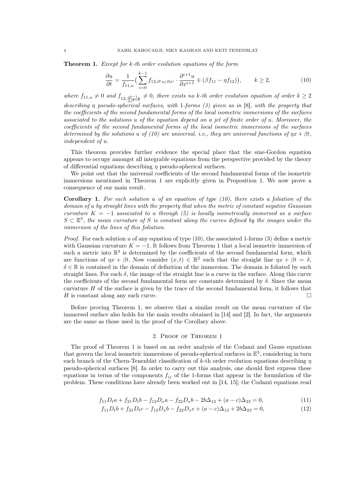Theorem 1. Except for k-th order evolution equations of the form

$$
\frac{\partial u}{\partial t} = \frac{1}{f_{11,u}} \Big( \sum_{i=0}^{k-1} f_{12,\partial^i u/\partial x^i} \cdot \frac{\partial^{i+1} u}{\partial x^{i+1}} \mp (\beta f_{11} - \eta f_{12}) \Big), \qquad k \ge 2,
$$
 (10)

where  $f_{11,u} \neq 0$  and  $f_{12,\frac{\partial k-1}{\partial x^{k-1}}} \neq 0$ , there exists no k-th order evolution equation of order  $k \geq 2$ describing η pseudo-spherical surfaces, with 1-forms (3) given as in [8], with the property that the coefficients of the second fundamental forms of the local isometric immersions of the surfaces associated to the solutions u of the equation depend on a jet of finite order of u. Moreover, the coefficients of the second fundamental forms of the local isometric immersions of the surfaces determined by the solutions u of (10) are universal, i.e., they are universal functions of  $\eta x + \beta t$ , independent of u.

This theorem provides further evidence the special place that the sine-Gordon equation appears to occupy amongst all integrable equations from the perspective provided by the theory of differential equations describing  $\eta$  pseudo-spherical surfaces.

We point out that the universal coefficients of the second fundamental forms of the isometric immersions mentioned in Theorem 1 are explicitly given in Proposition 1. We now prove a consequence of our main result.

**Corollary 1.** For each solution u of an equation of type  $(10)$ , there exists a foliation of the domain of u by straight lines with the property that when the metric of constant negative Gaussian curvature  $K = -1$  associated to u through (5) is locally isometrically immersed as a surface  $S \subset \mathbb{E}^3$ , the mean curvature of S is constant along the curves defined by the images under the immersion of the lines of this foliation.

*Proof.* For each solution u of any equation of type (10), the associated 1-forms (3) define a metric with Gaussian curvature  $K = -1$ . It follows from Theorem 1 that a local isometric immersion of such a metric into  $\mathbb{R}^3$  is determined by the coefficients of the second fundamental form, which are functions of  $\eta x + \beta t$ . Now consider  $(x, t) \in \mathbb{R}^2$  such that the straight line  $\eta x + \beta t = \delta$ ,  $\delta \in \mathbb{R}$  is contained in the domain of definition of the immersion. The domain is foliated by such straight lines. For each  $\delta$ , the image of the straight line is a curve in the surface. Along this curve the coefficients of the second fundamental form are constants determined by  $\delta$ . Since the mean curvature  $H$  of the surface is given by the trace of the second fundamental form, it follows that  $H$  is constant along any such curve.

Before proving Theorem 1, we observe that a similar result on the mean curvature of the immersed surface also holds for the main results obtained in [14] and [2]. In fact, the arguments are the same as those used in the proof of the Corollary above.

#### 2. Proof of Theorem 1

The proof of Theorem 1 is based on an order analysis of the Codazzi and Gauss equations that govern the local isometric immersions of pseudo-spherical surfaces in  $\mathbb{E}^3$ , considering in turn each branch of the Chern-Tenenblat classification of k-th order evolution equations describing  $\eta$ pseudo-spherical surfaces [8]. In order to carry out this analysis, one should first express these equations in terms of the components  $f_{ij}$  of the 1-forms that appear in the formulation of the problem. These conditions have already been worked out in [14, 15]; the Codazzi equations read

$$
f_{11}D_t a + f_{21}D_t b - f_{12}D_x a - f_{22}D_x b - 2b\Delta_{13} + (a - c)\Delta_{23} = 0,
$$
\n(11)

$$
f_{11}D_t b + f_{21}D_t c - f_{12}D_x b - f_{22}D_x c + (a - c)\Delta_{13} + 2b\Delta_{23} = 0,
$$
\n(12)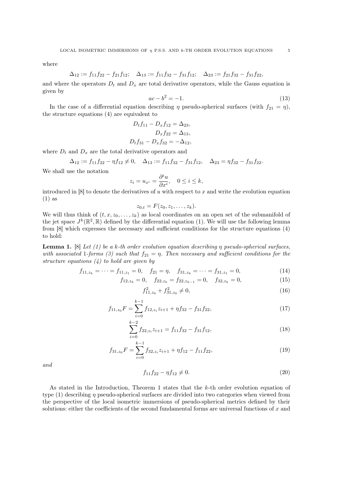where

$$
\Delta_{12} := f_{11}f_{22} - f_{21}f_{12}; \quad \Delta_{13} := f_{11}f_{32} - f_{31}f_{12}; \quad \Delta_{23} := f_{21}f_{32} - f_{31}f_{22},
$$

and where the operators  $D_t$  and  $D_x$  are total derivative operators, while the Gauss equation is given by

$$
ac - b^2 = -1.
$$
 (13)

In the case of a differential equation describing  $\eta$  pseudo-spherical surfaces (with  $f_{21} = \eta$ ), the structure equations (4) are equivalent to

$$
D_t f_{11} - D_x f_{12} = \Delta_{23},
$$
  
\n
$$
D_x f_{22} = \Delta_{13},
$$
  
\n
$$
D_t f_{31} - D_x f_{32} = -\Delta_{12},
$$

where  $D_t$  and  $D_x$  are the total derivative operators and

$$
\Delta_{12} := f_{11}f_{22} - \eta f_{12} \neq 0, \quad \Delta_{13} := f_{11}f_{32} - f_{31}f_{12}, \quad \Delta_{23} = \eta f_{32} - f_{31}f_{22}.
$$

We shall use the notation

$$
z_i = u_{x^i} = \frac{\partial^i u}{\partial x^i}, \quad 0 \le i \le k,
$$

introduced in  $[8]$  to denote the derivatives of u with respect to x and write the evolution equation (1) as

$$
z_{0,t}=F(z_0,z_1,\ldots,z_k).
$$

We will thus think of  $(t, x, z_0, \ldots, z_k)$  as local coordinates on an open set of the submanifold of the jet space  $J^k(\mathbb{R}^2, \mathbb{R})$  defined by the differential equation (1). We will use the following lemma from [8] which expresses the necessary and sufficient conditions for the structure equations (4) to hold:

**Lemma 1.** [8] Let (1) be a k-th order evolution equation describing  $\eta$  pseudo-spherical surfaces, with associated 1-forms (3) such that  $f_{21} = \eta$ . Then necessary and sufficient conditions for the structure equations  $(4)$  to hold are given by

$$
f_{11,z_k} = \dots = f_{11,z_1} = 0, \quad f_{21} = \eta, \quad f_{31,z_k} = \dots = f_{31,z_1} = 0,\tag{14}
$$

$$
f_{12,z_k} = 0, \quad f_{22,z_k} = f_{22,z_{k-1}} = 0, \quad f_{32,z_k} = 0,
$$
\n(15)

$$
f_{11,z_0}^2 + f_{31,z_0}^2 \neq 0,\tag{16}
$$

$$
f_{11,z_0}F = \sum_{i=0}^{k-1} f_{12,z_i} z_{i+1} + \eta f_{32} - f_{31} f_{22},\tag{17}
$$

$$
\sum_{i=0}^{k-2} f_{22,z_i} z_{i+1} = f_{11} f_{32} - f_{31} f_{12},\tag{18}
$$

$$
f_{31,z_0}F = \sum_{i=0}^{k-1} f_{32,z_i}z_{i+1} + \eta f_{12} - f_{11}f_{22},\tag{19}
$$

and

$$
f_{11}f_{22} - \eta f_{12} \neq 0. \tag{20}
$$

As stated in the Introduction, Theorem 1 states that the  $k$ -th order evolution equation of type  $(1)$  describing  $\eta$  pseudo-spherical surfaces are divided into two categories when viewed from the perspective of the local isometric immersions of pseudo-spherical metrics defined by their solutions: either the coefficients of the second fundamental forms are universal functions of x and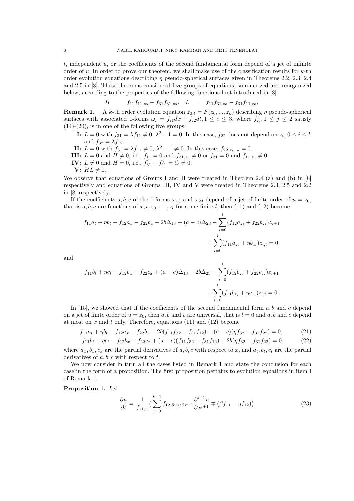$t$ , independent  $u$ , or the coefficients of the second fundamental form depend of a jet of infinite order of u. In order to prove our theorem, we shall make use of the classification results for  $k$ -th order evolution equations describing  $\eta$  pseudo-spherical surfaces given in Theorems 2.2, 2.3, 2.4 and 2.5 in [8]. These theorems considered five groups of equations, summarized and reorganized below, according to the properties of the following functions first introduced in [8]

$$
H = f_{11}f_{11,z_0} - f_{31}f_{31,z_0}, \quad L = f_{11}f_{31,z_0} - f_{31}f_{11,z_0},
$$

**Remark 1.** A k-th order evolution equation  $z_{0,t} = F(z_0, ..., z_k)$  describing  $\eta$  pseudo-spherical surfaces with associated 1-forms  $\omega_i = f_{i1}dx + f_{i2}dt, 1 \leq i \leq 3$ , where  $f_{ij}, 1 \leq j \leq 2$  satisfy  $(14)-(20)$ , is in one of the following five groups:

- **I:**  $L = 0$  with  $f_{31} = \lambda f_{11} \neq 0, \lambda^2 1 = 0$ . In this case,  $f_{22}$  does not depend on  $z_i, 0 \le i \le k$ and  $f_{32} = \lambda f_{12}$ .
- **II:**  $L = 0$  with  $f_{31} = \lambda f_{11} \neq 0, \ \lambda^2 1 \neq 0$ . In this case,  $f_{22, z_{k-2}} = 0$ .
- **III:**  $L = 0$  and  $H \neq 0$ , i.e.,  $f_{11} = 0$  and  $f_{31,z_0} \neq 0$  or  $f_{31} = 0$  and  $f_{11,z_0} \neq 0$ .
- **IV:**  $L \neq 0$  and  $H = 0$ , i.e.,  $f_{31}^2 f_{11}^2 = C \neq 0$ .
- V:  $HL \neq 0$ .

We observe that equations of Groups I and II were treated in Theorem 2.4 (a) and (b) in [8] respectively and equations of Groups III, IV and V were treated in Theorems 2.3, 2.5 and 2.2 in [8] respectively.

If the coefficients a, b, c of the 1-forms  $\omega_{13}$  and  $\omega_{23}$  depend of a jet of finite order of  $u = z_0$ , that is a, b, c are functions of  $x, t, z_0, \ldots, z_l$  for some finite l, then (11) and (12) become

$$
f_{11}a_t + \eta b_t - f_{12}a_x - f_{22}b_x - 2b\Delta_{13} + (a - c)\Delta_{23} - \sum_{i=0}^l (f_{12}a_{z_i} + f_{22}b_{z_i})z_{i+1} + \sum_{i=0}^l (f_{11}a_{z_i} + \eta b_{z_i})z_{i,t} = 0,
$$

and

$$
f_{11}b_t + \eta c_t - f_{12}b_x - f_{22}c_x + (a - c)\Delta_{13} + 2b\Delta_{23} - \sum_{i=0}^l (f_{12}b_{z_i} + f_{22}c_{z_i})z_{i+1} + \sum_{i=0}^l (f_{11}b_{z_i} + \eta c_{z_i})z_{i,t} = 0.
$$

In [15], we showed that if the coefficients of the second fundamental form  $a, b$  and  $c$  depend on a jet of finite order of  $u = z_0$ , then a, b and c are universal, that is  $l = 0$  and a, b and c depend at most on  $x$  and  $t$  only. Therefore, equations (11) and (12) become

$$
f_{11}a_t + \eta b_t - f_{12}a_x - f_{22}b_x - 2b(f_{11}f_{32} - f_{31}f_{12}) + (a - c)(\eta f_{32} - f_{31}f_{22}) = 0,
$$
(21)  

$$
f_{11}b_t + \eta c_t - f_{12}b_x - f_{22}c_x + (a - c)(f_{11}f_{32} - f_{31}f_{12}) + 2b(\eta f_{32} - f_{31}f_{22}) = 0,
$$
(22)

where  $a_x, b_x, c_x$  are the partial derivatives of a, b, c with respect to x, and  $a_t, b_t, c_t$  are the partial derivatives of  $a, b, c$  with respect to  $t$ .

We now consider in turn all the cases listed in Remark 1 and state the conclusion for each case in the form of a proposition. The first proposition pertains to evolution equations in item I of Remark 1.

## Proposition 1. Let

$$
\frac{\partial u}{\partial t} = \frac{1}{f_{11,u}} \Big( \sum_{i=0}^{k-1} f_{12,\partial^i u/\partial x^i} \cdot \frac{\partial^{i+1} u}{\partial x^{i+1}} \mp (\beta f_{11} - \eta f_{12}) \Big), \tag{23}
$$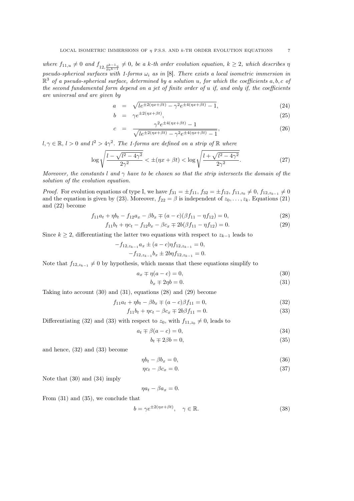where  $f_{11,u} \neq 0$  and  $f_{12,\frac{\partial k-1u}{\partial x^{k-1}}} \neq 0$ , be a k-th order evolution equation,  $k \geq 2$ , which describes  $\eta$ pseudo-spherical surfaces with 1-forms  $\omega_i$  as in [8]. There exists a local isometric immersion in  $\mathbb{R}^3$  of a pseudo-spherical surface, determined by a solution u, for which the coefficients a, b, c of the second fundamental form depend on a jet of finite order of u if, and only if, the coefficients are universal and are given by

$$
a = \sqrt{le^{\pm 2(\eta x + \beta t)} - \gamma^2 e^{\pm 4(\eta x + \beta t)} - 1},
$$
\n(24)

$$
b = \gamma e^{\pm 2(\eta x + \beta t)}, \tag{25}
$$

$$
c = \frac{\gamma^2 e^{\pm 4(\eta x + \beta t)} - 1}{\sqrt{le^{\pm 2(\eta x + \beta t)} - \gamma^2 e^{\pm 4(\eta x + \beta t)} - 1}},\tag{26}
$$

 $l, \gamma \in \mathbb{R}, l > 0$  and  $l^2 > 4\gamma^2$ . The 1-forms are defined on a strip of  $\mathbb{R}$  where

$$
\log \sqrt{\frac{l - \sqrt{l^2 - 4\gamma^2}}{2\gamma^2}} < \pm (\eta x + \beta t) < \log \sqrt{\frac{l + \sqrt{l^2 - 4\gamma^2}}{2\gamma^2}}.
$$
\n(27)

Moreover, the constants l and  $\gamma$  have to be chosen so that the strip intersects the domain of the solution of the evolution equation.

*Proof.* For evolution equations of type I, we have  $f_{31} = \pm f_{11}$ ,  $f_{32} = \pm f_{12}$ ,  $f_{11,z_0} \neq 0$ ,  $f_{12,z_{k-1}} \neq 0$ and the equation is given by (23). Moreover,  $f_{22} = \beta$  is independent of  $z_0, \ldots, z_k$ . Equations (21) and (22) become

$$
f_{11}a_t + \eta b_t - f_{12}a_x - \beta b_x \mp (a - c)(\beta f_{11} - \eta f_{12}) = 0,
$$
\n(28)

$$
f_{11}b_t + \eta c_t - f_{12}b_x - \beta c_x \mp 2b(\beta f_{11} - \eta f_{12}) = 0.
$$
 (29)

Since  $k \geq 2$ , differentiating the latter two equations with respect to  $z_{k-1}$  leads to

$$
-f_{12,z_{k-1}}a_x \pm (a-c)\eta f_{12,z_{k-1}} = 0,
$$
  

$$
-f_{12,z_{k-1}}b_x \pm 2b\eta f_{12,z_{k-1}} = 0.
$$

Note that  $f_{12,z_{k-1}} \neq 0$  by hypothesis, which means that these equations simplify to

$$
a_x \mp \eta(a-c) = 0,\tag{30}
$$

$$
b_x \mp 2\eta b = 0. \tag{31}
$$

Taking into account (30) and (31), equations (28) and (29) become

$$
f_{11}a_t + \eta b_t - \beta b_x \mp (a - c)\beta f_{11} = 0,
$$
\n(32)

$$
f_{11}b_t + \eta c_t - \beta c_x \mp 2b\beta f_{11} = 0. \tag{33}
$$

Differentiating (32) and (33) with respect to  $z_0$ , with  $f_{11,z_0} \neq 0$ , leads to

$$
a_t \mp \beta(a-c) = 0,\t\t(34)
$$

$$
b_t \mp 2\beta b = 0,\t\t(35)
$$

and hence, (32) and (33) become

$$
\eta b_t - \beta b_x = 0,\t\t(36)
$$

$$
\eta c_t - \beta c_x = 0. \tag{37}
$$

Note that (30) and (34) imply

$$
\eta a_t - \beta a_x = 0.
$$

From (31) and (35), we conclude that

$$
b = \gamma e^{\pm 2(\eta x + \beta t)}, \quad \gamma \in \mathbb{R}.\tag{38}
$$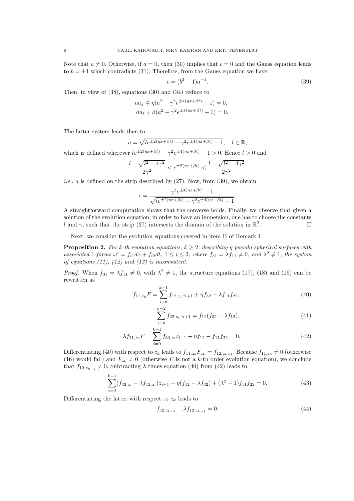Note that  $a \neq 0$ . Otherwise, if  $a = 0$ , then (30) implies that  $c = 0$  and the Gauss equation leads to  $b = \pm 1$  which contradicts (31). Therefore, from the Gauss equation we have

$$
c = (b^2 - 1)a^{-1}.
$$
\n(39)

Then, in view of (38), equations (30) and (34) reduce to

$$
aa_x \mp \eta(a^2 - \gamma^2 e^{\pm 4(\eta x + \beta t)} + 1) = 0,
$$
  
\n
$$
aa_t \mp \beta(a^2 - \gamma^2 e^{\pm 4(\eta x + \beta t)} + 1) = 0.
$$

The latter system leads then to

$$
a = \sqrt{le^{\pm 2(\eta x + \beta t)} - \gamma^2 e^{\pm 4(\eta x + \beta t)} - 1}, \quad l \in \mathbb{R},
$$

which is defined wherever  $le^{\pm 2(\eta x + \beta t)} - \gamma^2 e^{\pm 4(\eta x + \beta t)} - 1 > 0$ . Hence  $l > 0$  and

$$
\frac{l-\sqrt{l^2-4\gamma^2}}{2\gamma^2}
$$

*i.e.*,  $a$  is defined on the strip described by  $(27)$ . Now, from  $(39)$ , we obtain

$$
c = \frac{\gamma^2 e^{\pm 4(\eta x + \beta t)} - 1}{\sqrt{le^{\pm 2(\eta x + \beta t)} - \gamma^2 e^{\pm 4(\eta x + \beta t)} - 1}}.
$$

A straightforward computation shows that the converse holds. Finally, we observe that given a solution of the evolution equation, in order to have an immersion, one has to choose the constants l and  $\gamma$ , such that the strip (27) intersects the domain of the solution in  $\mathbb{R}^2$ .

Next, we consider the evolution equations covered in item II of Remark 1.

**Proposition 2.** For k-th evolution equations,  $k \geq 2$ , describing  $\eta$  pseudo-spherical surfaces with associated 1-forms  $\omega^i = f_{i1}dx + f_{i2}dt$ ,  $1 \leq i \leq 3$ , where  $f_{31} = \lambda f_{11} \neq 0$ , and  $\lambda^2 \neq 1$ , the system of equations (11), (12) and (13) is inconsistent.

*Proof.* When  $f_{31} = \lambda f_{11} \neq 0$ , with  $\lambda^2 \neq 1$ , the structure equations (17), (18) and (19) can be rewritten as

$$
f_{11,z_0}F = \sum_{i=0}^{k-1} f_{12,z_i} z_{i+1} + \eta f_{32} - \lambda f_{11} f_{22},
$$
\n(40)

$$
\sum_{i=0}^{k-2} f_{22,z_i} z_{i+1} = f_{11}(f_{32} - \lambda f_{12}),
$$
\n(41)

$$
\lambda f_{11,z_0} F = \sum_{i=0}^{k-1} f_{32,z_i} z_{i+1} + \eta f_{12} - f_{11} f_{22} = 0.
$$
 (42)

Differentiating (40) with respect to  $z_k$  leads to  $f_{11,z_0}F_{z_k} = f_{12,z_{k-1}}$ . Because  $f_{11,z_0} \neq 0$  (otherwise (16) would fail) and  $F_{z_k} \neq 0$  (otherwise F is not a k-th order evolution equation), we conclude that  $f_{12,z_{k-1}} \neq 0$ . Subtracting  $\lambda$  times equation (40) from (42) leads to

$$
\sum_{i=0}^{k-1} (f_{32,z_i} - \lambda f_{12,z_i}) z_{i+1} + \eta (f_{12} - \lambda f_{32}) + (\lambda^2 - 1) f_{11} f_{22} = 0.
$$
 (43)

Differentiating the latter with respect to  $z_k$  leads to

$$
f_{32,z_{k-1}} - \lambda f_{12,z_{k-1}} = 0.
$$
\n(44)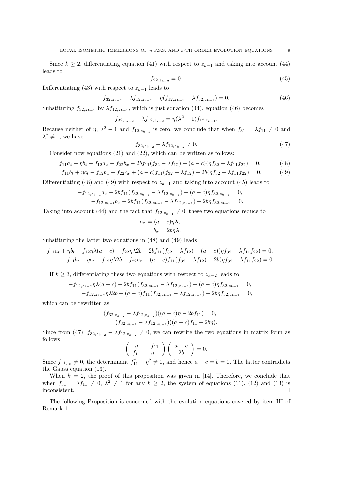Since  $k \geq 2$ , differentiating equation (41) with respect to  $z_{k-1}$  and taking into account (44) leads to

$$
f_{22,z_{k-2}} = 0.\t\t(45)
$$

Differentiating (43) with respect to  $z_{k-1}$  leads to

$$
f_{32,z_{k-2}} - \lambda f_{12,z_{k-2}} + \eta (f_{12,z_{k-1}} - \lambda f_{32,z_{k-1}}) = 0.
$$
 (46)

Substituting  $f_{32,z_{k-1}}$  by  $\lambda f_{12,z_{k-1}}$ , which is just equation (44), equation (46) becomes

$$
f_{32,z_{k-2}} - \lambda f_{12,z_{k-2}} = \eta(\lambda^2 - 1) f_{12,z_{k-1}}.
$$

Because neither of  $\eta$ ,  $\lambda^2 - 1$  and  $f_{12,z_{k-1}}$  is zero, we conclude that when  $f_{31} = \lambda f_{11} \neq 0$  and  $\lambda^2 \neq 1$ , we have

$$
f_{32,z_{k-2}} - \lambda f_{12,z_{k-2}} \neq 0. \tag{47}
$$

Consider now equations (21) and (22), which can be written as follows:

$$
f_{11}a_t + \eta b_t - f_{12}a_x - f_{22}b_x - 2bf_{11}(f_{32} - \lambda f_{12}) + (a - c)(\eta f_{32} - \lambda f_{11}f_{22}) = 0,
$$
 (48)

$$
f_{11}b_t + \eta c_t - f_{12}b_x - f_{22}c_x + (a - c)f_{11}(f_{32} - \lambda f_{12}) + 2b(\eta f_{32} - \lambda f_{11}f_{22}) = 0.
$$
 (49)

Differentiating (48) and (49) with respect to  $z_{k-1}$  and taking into account (45) leads to

$$
-f_{12,z_{k-1}}a_x - 2bf_{11}(f_{32,z_{k-1}} - \lambda f_{12,z_{k-1}}) + (a - c)\eta f_{32,z_{k-1}} = 0,
$$
  

$$
-f_{12,z_{k-1}}b_x - 2bf_{11}(f_{32,z_{k-1}} - \lambda f_{12,z_{k-1}}) + 2bf_{32,z_{k-1}} = 0.
$$

Taking into account (44) and the fact that  $f_{12,z_{k-1}} \neq 0$ , these two equations reduce to

$$
a_x = (a - c)\eta\lambda,
$$
  

$$
b_x = 2b\eta\lambda.
$$

Substituting the latter two equations in (48) and (49) leads

$$
f_{11}a_t + \eta b_t - f_{12}\eta\lambda(a-c) - f_{22}\eta\lambda 2b - 2bf_{11}(f_{32} - \lambda f_{12}) + (a-c)(\eta f_{32} - \lambda f_{11}f_{22}) = 0,
$$
  

$$
f_{11}b_t + \eta c_t - f_{12}\eta\lambda 2b - f_{22}c_x + (a-c)f_{11}(f_{32} - \lambda f_{12}) + 2b(\eta f_{32} - \lambda f_{11}f_{22}) = 0.
$$

If  $k \geq 3$ , differentiating these two equations with respect to  $z_{k-2}$  leads to

$$
-f_{12,z_{k-2}}\eta\lambda(a-c) - 2bf_{11}(f_{32,z_{k-2}} - \lambda f_{12,z_{k-2}}) + (a-c)\eta f_{32,z_{k-2}} = 0,
$$
  

$$
-f_{12,z_{k-2}}\eta\lambda(2b + (a-c)f_{11}(f_{32,z_{k-2}} - \lambda f_{12,z_{k-2}}) + 2b\eta f_{32,z_{k-2}} = 0,
$$

which can be rewritten as

$$
(f_{32,z_{k-2}} - \lambda f_{12,z_{k-2}})((a-c)\eta - 2bf_{11}) = 0,
$$
  

$$
(f_{32,z_{k-2}} - \lambda f_{12,z_{k-2}})((a-c)f_{11} + 2b\eta).
$$

Since from (47),  $f_{32,z_{k-2}} - \lambda f_{12,z_{k-2}} \neq 0$ , we can rewrite the two equations in matrix form as follows

$$
\left(\begin{array}{cc} \eta & -f_{11} \\ f_{11} & \eta \end{array}\right) \left(\begin{array}{c} a-c \\ 2b \end{array}\right) = 0.
$$

Since  $f_{11,z_0} \neq 0$ , the determinant  $f_{11}^2 + \eta^2 \neq 0$ , and hence  $a - c = b = 0$ . The latter contradicts the Gauss equation (13).

When  $k = 2$ , the proof of this proposition was given in [14]. Therefore, we conclude that when  $f_{31} = \lambda f_{11} \neq 0, \lambda^2 \neq 1$  for any  $k \geq 2$ , the system of equations (11), (12) and (13) is inconsistent.

The following Proposition is concerned with the evolution equations covered by item III of Remark 1.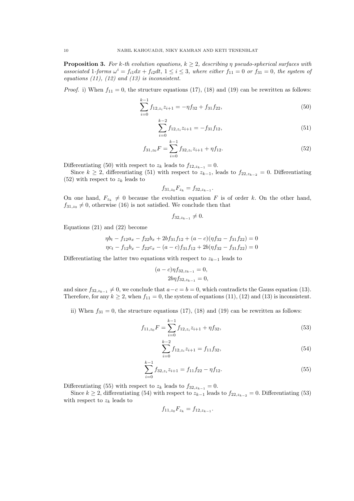**Proposition 3.** For k-th evolution equations,  $k \geq 2$ , describing  $\eta$  pseudo-spherical surfaces with associated 1-forms  $\omega^i = f_{i1}dx + f_{i2}dt$ ,  $1 \leq i \leq 3$ , where either  $f_{11} = 0$  or  $f_{31} = 0$ , the system of equations  $(11)$ ,  $(12)$  and  $(13)$  is inconsistent.

*Proof.* i) When  $f_{11} = 0$ , the structure equations (17), (18) and (19) can be rewritten as follows:

$$
\sum_{i=0}^{k-1} f_{12, z_i} z_{i+1} = -\eta f_{32} + f_{31} f_{22},\tag{50}
$$

$$
\sum_{i=0}^{k-2} f_{12,z_i} z_{i+1} = -f_{31} f_{12},\tag{51}
$$

$$
f_{31,z_0}F = \sum_{i=0}^{k-1} f_{32,z_i} z_{i+1} + \eta f_{12}.
$$
 (52)

Differentiating (50) with respect to  $z_k$  leads to  $f_{12,z_{k-1}} = 0$ .

Since  $k \geq 2$ , differentiating (51) with respect to  $z_{k-1}$ , leads to  $f_{22,z_{k-2}} = 0$ . Differentiating  $(52)$  with respect to  $z_k$  leads to

$$
f_{31,z_0}F_{z_k} = f_{32,z_{k-1}}.
$$

On one hand,  $F_{z_k} \neq 0$  because the evolution equation F is of order k. On the other hand,  $f_{31,z_0} \neq 0$ , otherwise (16) is not satisfied. We conclude then that

$$
f_{32,z_{k-1}}\neq 0.
$$

Equations (21) and (22) become

$$
\eta b_t - f_{12}a_x - f_{22}b_x + 2bf_{31}f_{12} + (a - c)(\eta f_{32} - f_{31}f_{22}) = 0
$$
  

$$
\eta c_t - f_{12}b_x - f_{22}c_x - (a - c)f_{31}f_{12} + 2b(\eta f_{32} - f_{31}f_{22}) = 0
$$

Differentiating the latter two equations with respect to  $z_{k-1}$  leads to

$$
(a-c)\eta f_{32,z_{k-1}} = 0,
$$
  
\n
$$
2b\eta f_{32,z_{k-1}} = 0,
$$

and since  $f_{32,z_{k-1}} \neq 0$ , we conclude that  $a-c=b=0$ , which contradicts the Gauss equation (13). Therefore, for any  $k \ge 2$ , when  $f_{11} = 0$ , the system of equations (11), (12) and (13) is inconsistent.

ii) When  $f_{31} = 0$ , the structure equations (17), (18) and (19) can be rewritten as follows:

$$
f_{11,z_0}F = \sum_{i=0}^{k-1} f_{12,z_i} z_{i+1} + \eta f_{32},\tag{53}
$$

$$
\sum_{i=0}^{k-2} f_{12,z_i} z_{i+1} = f_{11} f_{32},\tag{54}
$$

$$
\sum_{i=0}^{k-1} f_{32,z_i} z_{i+1} = f_{11} f_{22} - \eta f_{12}.
$$
 (55)

Differentiating (55) with respect to  $z_k$  leads to  $f_{32,z_{k-1}} = 0$ .

Since  $k \geq 2$ , differentiating (54) with respect to  $z_{k-1}$  leads to  $f_{22,z_{k-2}} = 0$ . Differentiating (53) with respect to  $z_k$  leads to

$$
f_{11,z_0}F_{z_k} = f_{12,z_{k-1}}.
$$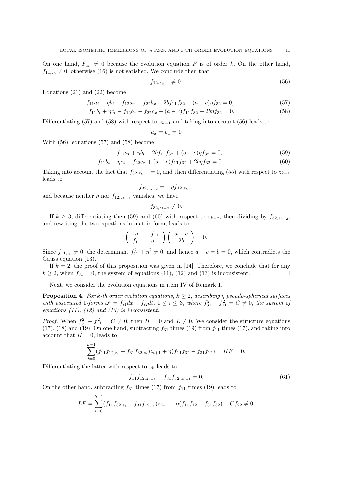On one hand,  $F_{z_k} \neq 0$  because the evolution equation F is of order k. On the other hand,  $f_{11,z_0} \neq 0$ , otherwise (16) is not satisfied. We conclude then that

$$
f_{12,z_{k-1}} \neq 0. \tag{56}
$$

Equations (21) and (22) become

$$
f_{11}a_t + \eta b_t - f_{12}a_x - f_{22}b_x - 2bf_{11}f_{32} + (a - c)\eta f_{32} = 0,
$$
\n(57)

$$
f_{11}b_t + \eta c_t - f_{12}b_x - f_{22}c_x + (a - c)f_{11}f_{32} + 2b\eta f_{32} = 0.
$$
\n(58)

Differentiating (57) and (58) with respect to  $z_{k-1}$  and taking into account (56) leads to

 $a_x = b_x = 0$ 

With (56), equations (57) and (58) become

$$
f_{11}a_t + \eta b_t - 2bf_{11}f_{32} + (a - c)\eta f_{32} = 0,\t\t(59)
$$

$$
f_{11}b_t + \eta c_t - f_{22}c_x + (a - c)f_{11}f_{32} + 2b\eta f_{32} = 0.
$$
\n(60)

Taking into account the fact that  $f_{32,z_{k-1}} = 0$ , and then differentiating (55) with respect to  $z_{k-1}$ leads to

$$
f_{32,z_{k-2}}=-\eta f_{12,z_{k-1}}
$$

and because neither  $\eta$  nor  $f_{12,z_{k-1}}$  vanishes, we have

$$
f_{32,z_{k-2}}\neq 0.
$$

If  $k \geq 3$ , differentiating then (59) and (60) with respect to  $z_{k-2}$ , then dividing by  $f_{32,z_{k-2}}$ , and rewriting the two equations in matrix form, leads to

$$
\left(\begin{array}{cc} \eta & -f_{11} \\ f_{11} & \eta \end{array}\right) \left(\begin{array}{c} a-c \\ 2b \end{array}\right) = 0.
$$

Since  $f_{11,z_0} \neq 0$ , the determinant  $f_{11}^2 + \eta^2 \neq 0$ , and hence  $a - c = b = 0$ , which contradicts the Gauss equation  $(13)$ .

If  $k = 2$ , the proof of this proposition was given in [14]. Therefore, we conclude that for any  $k \ge 2$ , when  $f_{31} = 0$ , the system of equations (11), (12) and (13) is inconsistent.

Next, we consider the evolution equations in item IV of Remark 1.

**Proposition 4.** For k-th order evolution equations,  $k \geq 2$ , describing  $\eta$  pseudo-spherical surfaces with associated 1-forms  $\omega^i = f_{i1}dx + f_{i2}dt$ ,  $1 \leq i \leq 3$ , where  $f_{31}^2 - f_{11}^2 = C \neq 0$ , the system of equations (11), (12) and (13) is inconsistent.

*Proof.* When  $f_{31}^2 - f_{11}^2 = C \neq 0$ , then  $H = 0$  and  $L \neq 0$ . We consider the structure equations (17), (18) and (19). On one hand, subtracting  $f_{31}$  times (19) from  $f_{11}$  times (17), and taking into account that  $H = 0$ , leads to

$$
\sum_{i=0}^{k-1} (f_{11}f_{12,z_i} - f_{31}f_{32,z_i})z_{i+1} + \eta(f_{11}f_{32} - f_{31}f_{12}) = HF = 0.
$$

Differentiating the latter with respect to  $z_k$  leads to

$$
f_{11}f_{12,z_{k-1}} - f_{31}f_{32,z_{k-1}} = 0.
$$
\n(61)

On the other hand, subtracting  $f_{31}$  times (17) from  $f_{11}$  times (19) leads to

$$
LF = \sum_{i=0}^{k-1} (f_{11}f_{32,z_i} - f_{31}f_{12,z_i})z_{i+1} + \eta(f_{11}f_{12} - f_{31}f_{32}) + Cf_{22} \neq 0.
$$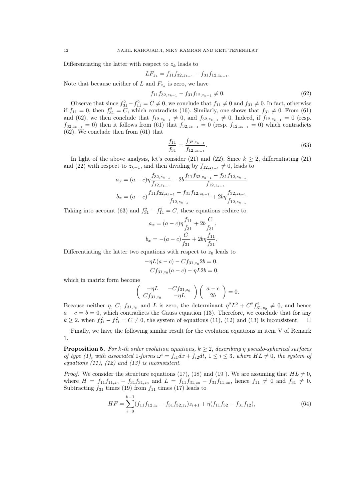Differentiating the latter with respect to  $z_k$  leads to

$$
LF_{z_k} = f_{11}f_{32, z_{k-1}} - f_{31}f_{12, z_{k-1}}.
$$

Note that because neither of L and  $F_{z_k}$  is zero, we have

$$
f_{11}f_{32,z_{k-1}} - f_{31}f_{12,z_{k-1}} \neq 0. \tag{62}
$$

Observe that since  $f_{31}^2 - f_{11}^2 = C \neq 0$ , we conclude that  $f_{11} \neq 0$  and  $f_{31} \neq 0$ . In fact, otherwise if  $f_{11} = 0$ , then  $f_{31}^2 = C$ , which contradicts (16). Similarly, one shows that  $f_{31} \neq 0$ . From (61) and (62), we then conclude that  $f_{12,z_{k-1}} \neq 0$ , and  $f_{32,z_{k-1}} \neq 0$ . Indeed, if  $f_{12,z_{k-1}} = 0$  (resp.  $f_{32,z_{k-1}} = 0$ ) then it follows from (61) that  $f_{32,z_{k-1}} = 0$  (resp.  $f_{12,z_{k-1}} = 0$ ) which contradicts (62). We conclude then from (61) that

$$
\frac{f_{11}}{f_{31}} = \frac{f_{32,z_{k-1}}}{f_{12,z_{k-1}}}.
$$
\n(63)

In light of the above analysis, let's consider (21) and (22). Since  $k > 2$ , differentiating (21) and (22) with respect to  $z_{k-1}$ , and then dividing by  $f_{12,z_{k-1}} \neq 0$ , leads to

$$
a_x = (a-c)\eta \frac{f_{32,z_{k-1}}}{f_{12,z_{k-1}}} - 2b \frac{f_{11}f_{32,z_{k-1}} - f_{31}f_{12,z_{k-1}}}{f_{12,z_{k-1}}}
$$
  

$$
b_x = (a-c) \frac{f_{11}f_{32,z_{k-1}} - f_{31}f_{12,z_{k-1}}}{f_{12,z_{k-1}}} + 2b\eta \frac{f_{32,z_{k-1}}}{f_{12,z_{k-1}}}
$$

Taking into account (63) and  $f_{31}^2 - f_{11}^2 = C$ , these equations reduce to

$$
a_x = (a - c)\eta \frac{f_{11}}{f_{31}} + 2b \frac{C}{f_{31}},
$$
  

$$
b_x = -(a - c)\frac{C}{f_{31}} + 2b\eta \frac{f_{11}}{f_{31}}.
$$

Differentiating the latter two equations with respect to  $z_0$  leads to

$$
-\eta L(a-c) - Cf_{31,z_0}2b = 0,
$$
  
\n
$$
Cf_{31,z_0}(a-c) - \eta L2b = 0,
$$

which in matrix form become

$$
\left(\begin{array}{cc} -\eta L & -C f_{31,z_0} \\ C f_{31,z_0} & -\eta L \end{array}\right) \left(\begin{array}{c} a-c \\ 2b \end{array}\right) = 0.
$$

Because neither  $\eta$ , C,  $f_{31,z_0}$  and L is zero, the determinant  $\eta^2 L^2 + C^2 f_{31,z_0}^2 \neq 0$ , and hence  $a - c = b = 0$ , which contradicts the Gauss equation (13). Therefore, we conclude that for any  $k \geq 2$ , when  $f_{31}^2 - f_{11}^2 = C \neq 0$ , the system of equations (11), (12) and (13) is inconsistent.  $\square$ 

Finally, we have the following similar result for the evolution equations in item V of Remark 1.

**Proposition 5.** For k-th order evolution equations,  $k \geq 2$ , describing n pseudo-spherical surfaces of type (1), with associated 1-forms  $\omega^i = f_{i1}dx + f_{i2}dt$ ,  $1 \leq i \leq 3$ , where  $HL \neq 0$ , the system of equations (11), (12) and (13) is inconsistent.

*Proof.* We consider the structure equations (17), (18) and (19). We are assuming that  $HL \neq 0$ , where  $H = f_{11}f_{11,z_0} - f_{31}f_{31,z_0}$  and  $L = f_{11}f_{31,z_0} - f_{31}f_{11,z_0}$ , hence  $f_{11} \neq 0$  and  $f_{31} \neq 0$ . Subtracting  $f_{31}$  times (19) from  $f_{11}$  times (17) leads to

$$
HF = \sum_{i=0}^{k-1} (f_{11}f_{12,z_i} - f_{31}f_{32,z_i})z_{i+1} + \eta(f_{11}f_{32} - f_{31}f_{12}),
$$
\n(64)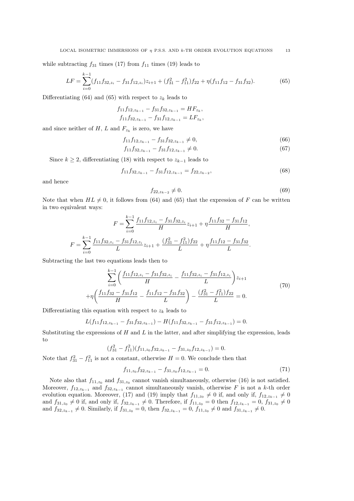while subtracting  $f_{31}$  times (17) from  $f_{11}$  times (19) leads to

$$
LF = \sum_{i=0}^{k-1} (f_{11}f_{32,z_i} - f_{31}f_{12,z_i})z_{i+1} + (f_{31}^2 - f_{11}^2)f_{22} + \eta(f_{11}f_{12} - f_{31}f_{32}).
$$
\n(65)

Differentiating (64) and (65) with respect to  $z_k$  leads to

$$
f_{11}f_{12,z_{k-1}} - f_{31}f_{32,z_{k-1}} = HF_{z_k},
$$
  

$$
f_{11}f_{32,z_{k-1}} - f_{31}f_{12,z_{k-1}} = LF_{z_k},
$$

and since neither of  $H$ ,  $L$  and  $F_{z_k}$  is zero, we have

$$
f_{11}f_{12,z_{k-1}} - f_{31}f_{32,z_{k-1}} \neq 0,\tag{66}
$$

$$
f_{11}f_{32,z_{k-1}} - f_{31}f_{12,z_{k-1}} \neq 0. \tag{67}
$$

Since  $k \geq 2$ , differentiating (18) with respect to  $z_{k-1}$  leads to

$$
f_{11}f_{32,z_{k-1}} - f_{31}f_{12,z_{k-1}} = f_{22,z_{k-2}},
$$
\n(68)

and hence

$$
f_{22,z_{k-2}} \neq 0. \tag{69}
$$

Note that when  $HL \neq 0$ , it follows from (64) and (65) that the expression of F can be written in two equivalent ways:

$$
F = \sum_{i=0}^{k-1} \frac{f_{11}f_{12,z_i} - f_{31}f_{32,z_i}}{H} z_{i+1} + \eta \frac{f_{11}f_{32} - f_{31}f_{12}}{H},
$$
  

$$
F = \sum_{i=0}^{k-1} \frac{f_{11}f_{32,z_i} - f_{31}f_{12,z_i}}{L} z_{i+1} + \frac{(f_{31}^2 - f_{11}^2)f_{22}}{L} + \eta \frac{f_{11}f_{12} - f_{31}f_{32}}{L}.
$$

Subtracting the last two equations leads then to

$$
\sum_{i=0}^{k-1} \left( \frac{f_{11}f_{12,z_i} - f_{31}f_{32,z_i}}{H} - \frac{f_{11}f_{32,z_i} - f_{31}f_{12,z_i}}{L} \right) z_{i+1}
$$
  
+
$$
\eta \left( \frac{f_{11}f_{32} - f_{31}f_{12}}{H} - \frac{f_{11}f_{12} - f_{31}f_{32}}{L} \right) - \frac{(f_{31}^2 - f_{11}^2)f_{22}}{L} = 0.
$$
 (70)

Differentiating this equation with respect to  $z_k$  leads to

$$
L(f_{11}f_{12,z_{k-1}}-f_{31}f_{32,z_{k-1}})-H(f_{11}f_{32,z_{k-1}}-f_{31}f_{12,z_{k-1}})=0.
$$

Substituting the expressions of  $H$  and  $L$  in the latter, and after simplifying the expression, leads to

$$
(f_{31}^2 - f_{11}^2)(f_{11,z_0}f_{32,z_{k-1}} - f_{31,z_0}f_{12,z_{k-1}}) = 0.
$$

Note that  $f_{31}^2 - f_{11}^2$  is not a constant, otherwise  $H = 0$ . We conclude then that

$$
f_{11,z_0} f_{32,z_{k-1}} - f_{31,z_0} f_{12,z_{k-1}} = 0.
$$
\n(71)

Note also that  $f_{11,z_0}$  and  $f_{31,z_0}$  cannot vanish simultaneously, otherwise (16) is not satisfied. Moreover,  $f_{12,z_{k-1}}$  and  $f_{32,z_{k-1}}$  cannot simultaneously vanish, otherwise F is not a k-th order evolution equation. Moreover, (17) and (19) imply that  $f_{11,z_0} \neq 0$  if, and only if,  $f_{12,z_{k-1}} \neq 0$ and  $f_{31,z_0} \neq 0$  if, and only if,  $f_{32,z_{k-1}} \neq 0$ . Therefore, if  $f_{11,z_0} = 0$  then  $f_{12,z_{k-1}} = 0$ ,  $f_{31,z_0} \neq 0$ and  $f_{32,z_{k-1}} \neq 0$ . Similarly, if  $f_{31,z_0} = 0$ , then  $f_{32,z_{k-1}} = 0$ ,  $f_{11,z_0} \neq 0$  and  $f_{31,z_{k-1}} \neq 0$ .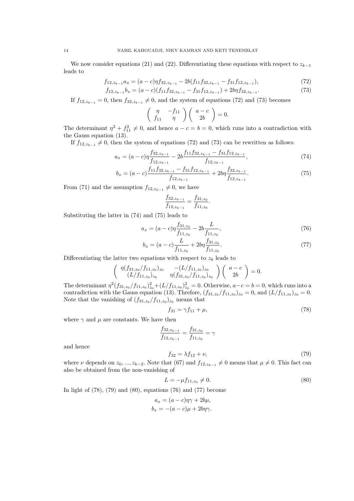We now consider equations (21) and (22). Differentiating these equations with respect to  $z_{k-1}$ leads to

$$
f_{12,z_{k-1}}a_x = (a-c)\eta f_{32,z_{k-1}} - 2b(f_{11}f_{32,z_{k-1}} - f_{31}f_{12,z_{k-1}}),
$$
\n(72)

$$
f_{12,z_{k-1}}b_x = (a-c)(f_{11}f_{32,z_{k-1}} - f_{31}f_{12,z_{k-1}}) + 2b\eta f_{32,z_{k-1}}.\tag{73}
$$

If  $f_{12,z_{k-1}} = 0$ , then  $f_{32,z_{k-1}} \neq 0$ , and the system of equations (72) and (73) becomes

$$
\left(\begin{array}{cc} \eta & -f_{11} \\ f_{11} & \eta \end{array}\right) \left(\begin{array}{c} a-c \\ 2b \end{array}\right) = 0.
$$

The determinant  $\eta^2 + f_{11}^2 \neq 0$ , and hence  $a - c = b = 0$ , which runs into a contradiction with the Gauss equation (13).

If  $f_{12,z_{k-1}} \neq 0$ , then the system of equations (72) and (73) can be rewritten as follows:

$$
a_x = (a-c)\eta \frac{f_{32,z_{k-1}}}{f_{12,z_{k-1}}} - 2b \frac{f_{11}f_{32,z_{k-1}} - f_{31}f_{12,z_{k-1}}}{f_{12,z_{k-1}}},\tag{74}
$$

$$
b_x = (a - c) \frac{f_{11} f_{32, z_{k-1}} - f_{31} f_{12, z_{k-1}}}{f_{12, z_{k-1}}} + 2b\eta \frac{f_{32, z_{k-1}}}{f_{12, z_{k-1}}}.
$$
\n(75)

.

From (71) and the assumption  $f_{12,z_{k-1}} \neq 0$ , we have

$$
\frac{f_{32,z_{k-1}}}{f_{12,z_{k-1}}} = \frac{f_{31,z_0}}{f_{11,z_0}}
$$

Substituting the latter in (74) and (75) leads to

$$
a_x = (a - c)\eta \frac{f_{31,z_0}}{f_{11,z_0}} - 2b \frac{L}{f_{11,z_0}},
$$
\n(76)

$$
b_x = (a - c)\frac{L}{f_{11,z_0}} + 2b\eta \frac{f_{31,z_0}}{f_{11,z_0}}.\tag{77}
$$

Differentiating the latter two equations with respect to  $z_0$  leads to

$$
\begin{pmatrix}\n\eta(f_{31,z_0}/f_{11,z_0})_{z_0} & -(L/f_{11,z_0})_{z_0} \\
(L/f_{11,z_0})_{z_0} & \eta(f_{31,z_0}/f_{11,z_0})_{z_0}\n\end{pmatrix}\n\begin{pmatrix}\na-c \\
2b\n\end{pmatrix} = 0.
$$

The determinant  $\eta^2(f_{31,z_0}/f_{11,z_0})_{z_0}^2 + (L/f_{11,z_0})_{z_0}^2 = 0$ . Otherwise,  $a-c=b=0$ , which runs into a contradiction with the Gauss equation (13). Threfore,  $(f_{31,z_0}/f_{11,z_0})_{z_0}=0$ , and  $(L/f_{11,z_0})_{z_0}=0$ . Note that the vanishing of  $(f_{31,z_0}/f_{11,z_0})_{z_0}$  means that

$$
f_{31} = \gamma f_{11} + \mu,\tag{78}
$$

where  $\gamma$  and  $\mu$  are constants. We have then

$$
\frac{f_{32,z_{k-1}}}{f_{12,z_{k-1}}} = \frac{f_{31,z_0}}{f_{11,z_0}} = \gamma
$$
\n
$$
f_{32} = \lambda f_{12} + \nu,
$$
\n(79)

and hence

where  $\nu$  depends on  $z_0, ..., z_{k-2}$ . Note that (67) and  $f_{12,z_{k-1}} \neq 0$  means that  $\mu \neq 0$ . This fact can also be obtained from the non-vanishing of

$$
L = -\mu f_{11, z_0} \neq 0. \tag{80}
$$

In light of  $(78)$ ,  $(79)$  and  $(80)$ , equations  $(76)$  and  $(77)$  become

$$
a_x = (a - c)\eta\gamma + 2b\mu,
$$
  

$$
b_x = -(a - c)\mu + 2b\eta\gamma.
$$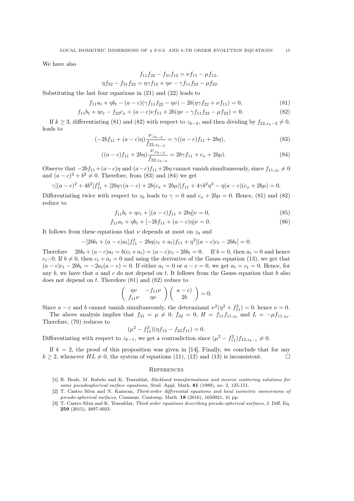We have also

$$
f_{11}f_{32} - f_{31}f_{12} = \nu f_{11} - \mu f_{12},
$$
  

$$
\eta f_{32} - f_{31}f_{22} = \eta \gamma f_{12} + \eta \nu - \gamma f_{11}f_{22} - \mu f_{22}.
$$

Substituting the last four equations in (21) and (22) leads to

$$
f_{11}a_t + \eta b_t - (a - c)(\gamma f_{11}f_{22} - \eta \nu) - 2b(\eta \gamma f_{22} + \nu f_{11}) = 0,
$$
\n(81)

$$
f_{11}b_t + \eta c_t - f_{22}c_x + (a - c)\nu f_{11} + 2b(\eta \nu - \gamma f_{11}f_{22} - \mu f_{22}) = 0.
$$
 (82)

If  $k > 3$ , differentiating (81) and (82) with respect to  $z_{k-2}$ , and then dividing by  $f_{22, z_{k-2} \neq 0$ , leads to

$$
(-2bf_{11} + (a-c)\eta) \frac{\nu_{,z_{k-2}}}{f_{22,z_{k-2}}} = \gamma((a-c)f_{11} + 2b\eta), \tag{83}
$$

$$
((a-c)f_{11} + 2b\eta) \frac{\nu_{,z_{k-2}}}{f_{22,z_{k-2}}} = 2b\gamma f_{11} + c_x + 2b\mu). \tag{84}
$$

Observe that  $-2bf_{11} + (a-c)\eta$  and  $(a-c)f_{11} + 2b\eta$  cannot vanish simultaneously, since  $f_{11,z_0} \neq 0$ and  $(a-c)^2 + b^2 \neq 0$ . Therefore, from (83) and (84) we get

$$
\gamma[(a-c)^2 + 4b^2]f_{11}^2 + [2b\eta\gamma(a-c) + 2b(c_x + 2b\mu)]f_{11} + 4\gamma b^2\eta^2 - \eta(a-c)(c_x + 2b\mu) = 0.
$$

Differentiating twice with respect to  $z_0$  leads to  $\gamma = 0$  and  $c_x + 2b\mu = 0$ . Hence, (81) and (82) reduce to

$$
f_{11}b_t + \eta c_t + [(a-c)f_{11} + 2b\eta]\nu = 0,
$$
\n(85)

$$
f_{11}a_t + \eta b_t + [-2bf_{11} + (a-c)\eta]\nu = 0.
$$
\n(86)

It follows from these equations that  $\nu$  depends at most on  $z_0$  and

$$
-[2bbt + (a - c)at]f112 - 2b\eta(ct + at)f11 + \eta2[(a - c)ct - 2bbt] = 0.
$$

Therefore  $2bb_t + (a-c)a_t = b(c_t + a_t) = (a-c)c_t - 2bb_t = 0$ . If  $b = 0$ , then  $a_t = 0$  and hence  $c_t=0.$  If  $b \neq 0$ , then  $c_t + a_t = 0$  and using the derivative of the Gauss equation (13), we get that  $(a-c)c_t - 2bb_t = -2a_t(a-c) = 0$ . If either  $a_t = 0$  or  $a-c = 0$ , we get  $a_t = c_t = 0$ . Hence, for any  $b$ , we have that  $a$  and  $c$  do not depend on  $t$ . It follows from the Gauss equation that  $b$  also does not depend on  $t$ . Therefore  $(81)$  and  $(82)$  reduce to

$$
\left(\begin{array}{cc} \eta\nu & -f_{11}\nu \\ f_{11}\nu & \eta\nu \end{array}\right)\left(\begin{array}{c} a-c \\ 2b \end{array}\right) = 0.
$$

Since  $a - c$  and b cannot vanish simultaneously, the determinant  $\nu^2(\eta^2 + f_{11}^2) = 0$ . hence  $\nu = 0$ .

The above analysis implies that  $f_{31} = \mu \neq 0$ ,  $f_{32} = 0$ ,  $H = f_{11}f_{11,z_0}$  and  $L = -\mu f_{11,z_0}$ . Therefore, (70) reduces to

$$
(\mu^2 - f_{11}^2)(\eta f_{12} - f_{22}f_{11}) = 0.
$$

Differentiating with respect to  $z_{k-1}$ , we get a contradiction since  $(\mu^2 - f_{11}^2) f_{12, z_{k-1}} \neq 0$ .

If  $k = 2$ , the proof of this proposition was given in [14]. Finally, we conclude that for any  $k \geq 2$ , whenever  $HL \neq 0$ , the system of equations (11), (12) and (13) is inconsistent.

#### **REFERENCES**

- [1] R. Beals, M. Rabelo and K. Tenenblat, Bäcklund transformations and inverse scattering solutions for some pseudospherical surface equations, Stud. Appl. Math. 81 (1989), no. 2, 125-151.
- [2] T. Castro Silva and N. Kamran, Third-order differential equations and local isometric immersions of pseudo-spherical surfaces, Commun. Contemp. Math. 18 (2016), 1650021, 41 pp.
- [3] T. Castro Silva and K. Tenenblat, Third order equations describing pseudo-spherical surfaces, J. Diff. Eq. 259 (2015), 4897-4923.